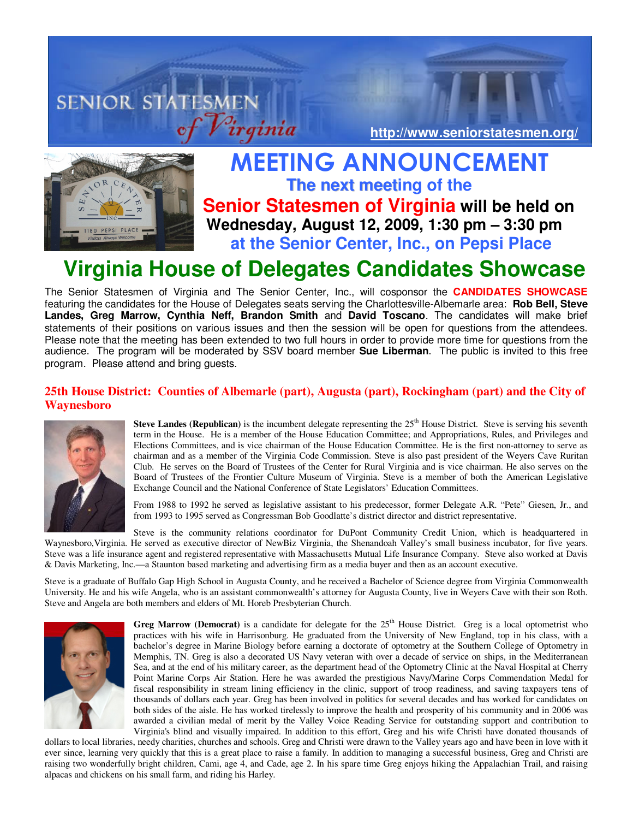# **SENIOR STATESMEN http://www.seniorstatesmen.org/**



## MEETING ANNOUNCEMENT **The next meeting of the Senior Statesmen of Virginia will be held on EXECUTE:** Wednesday, August 12, 2009, 1:30 pm – 3:30 pm  **at the Senior Center, Inc., on Pepsi Place**

## **Virginia House of Delegates Candidates Showcase**

The Senior Statesmen of Virginia and The Senior Center, Inc., will cosponsor the **CANDIDATES SHOWCASE**  featuring the candidates for the House of Delegates seats serving the Charlottesville-Albemarle area: **Rob Bell, Steve Landes, Greg Marrow, Cynthia Neff, Brandon Smith** and **David Toscano**. The candidates will make brief statements of their positions on various issues and then the session will be open for questions from the attendees. Please note that the meeting has been extended to two full hours in order to provide more time for questions from the audience. The program will be moderated by SSV board member **Sue Liberman**. The public is invited to this free program. Please attend and bring guests.

## **25th House District: Counties of Albemarle (part), Augusta (part), Rockingham (part) and the City of Waynesboro**



**Steve Landes (Republican)** is the incumbent delegate representing the 25<sup>th</sup> House District. Steve is serving his seventh term in the House. He is a member of the House Education Committee; and Appropriations, Rules, and Privileges and Elections Committees, and is vice chairman of the House Education Committee. He is the first non-attorney to serve as chairman and as a member of the Virginia Code Commission. Steve is also past president of the Weyers Cave Ruritan Club. He serves on the Board of Trustees of the Center for Rural Virginia and is vice chairman. He also serves on the Board of Trustees of the Frontier Culture Museum of Virginia. Steve is a member of both the American Legislative Exchange Council and the National Conference of State Legislators' Education Committees.

From 1988 to 1992 he served as legislative assistant to his predecessor, former Delegate A.R. "Pete" Giesen, Jr., and from 1993 to 1995 served as Congressman Bob Goodlatte's district director and district representative.

Steve is the community relations coordinator for DuPont Community Credit Union, which is headquartered in Waynesboro,Virginia. He served as executive director of NewBiz Virginia, the Shenandoah Valley's small business incubator, for five years. Steve was a life insurance agent and registered representative with Massachusetts Mutual Life Insurance Company. Steve also worked at Davis & Davis Marketing, Inc.—a Staunton based marketing and advertising firm as a media buyer and then as an account executive.

Steve is a graduate of Buffalo Gap High School in Augusta County, and he received a Bachelor of Science degree from Virginia Commonwealth University. He and his wife Angela, who is an assistant commonwealth's attorney for Augusta County, live in Weyers Cave with their son Roth. Steve and Angela are both members and elders of Mt. Horeb Presbyterian Church.



**Greg Marrow (Democrat)** is a candidate for delegate for the  $25<sup>th</sup>$  House District. Greg is a local optometrist who practices with his wife in Harrisonburg. He graduated from the University of New England, top in his class, with a bachelor's degree in Marine Biology before earning a doctorate of optometry at the Southern College of Optometry in Memphis, TN. Greg is also a decorated US Navy veteran with over a decade of service on ships, in the Mediterranean Sea, and at the end of his military career, as the department head of the Optometry Clinic at the Naval Hospital at Cherry Point Marine Corps Air Station. Here he was awarded the prestigious Navy/Marine Corps Commendation Medal for fiscal responsibility in stream lining efficiency in the clinic, support of troop readiness, and saving taxpayers tens of thousands of dollars each year. Greg has been involved in politics for several decades and has worked for candidates on both sides of the aisle. He has worked tirelessly to improve the health and prosperity of his community and in 2006 was awarded a civilian medal of merit by the Valley Voice Reading Service for outstanding support and contribution to Virginia's blind and visually impaired. In addition to this effort, Greg and his wife Christi have donated thousands of

dollars to local libraries, needy charities, churches and schools. Greg and Christi were drawn to the Valley years ago and have been in love with it ever since, learning very quickly that this is a great place to raise a family. In addition to managing a successful business, Greg and Christi are raising two wonderfully bright children, Cami, age 4, and Cade, age 2. In his spare time Greg enjoys hiking the Appalachian Trail, and raising alpacas and chickens on his small farm, and riding his Harley.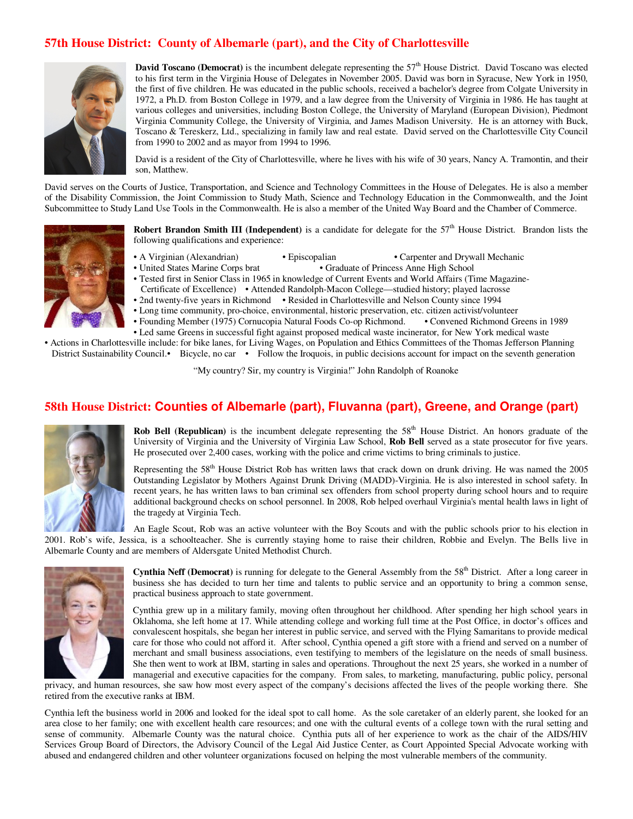## **57th House District: County of Albemarle (part), and the City of Charlottesville**



**David Toscano (Democrat)** is the incumbent delegate representing the 57<sup>th</sup> House District. David Toscano was elected to his first term in the Virginia House of Delegates in November 2005. David was born in Syracuse, New York in 1950, the first of five children. He was educated in the public schools, received a bachelor's degree from Colgate University in 1972, a Ph.D. from Boston College in 1979, and a law degree from the University of Virginia in 1986. He has taught at various colleges and universities, including Boston College, the University of Maryland (European Division), Piedmont Virginia Community College, the University of Virginia, and James Madison University. He is an attorney with Buck, Toscano & Tereskerz, Ltd., specializing in family law and real estate. David served on the Charlottesville City Council from 1990 to 2002 and as mayor from 1994 to 1996.

David is a resident of the City of Charlottesville, where he lives with his wife of 30 years, Nancy A. Tramontin, and their son, Matthew.

David serves on the Courts of Justice, Transportation, and Science and Technology Committees in the House of Delegates. He is also a member of the Disability Commission, the Joint Commission to Study Math, Science and Technology Education in the Commonwealth, and the Joint Subcommittee to Study Land Use Tools in the Commonwealth. He is also a member of the United Way Board and the Chamber of Commerce.



- **Robert Brandon Smith III (Independent)** is a candidate for delegate for the 57<sup>th</sup> House District. Brandon lists the following qualifications and experience:
- 
- A Virginian (Alexandrian) Episcopalian Carpenter and Drywall Mechanic<br>• United States Marine Corps brat Graduate of Princess Anne High School • Graduate of Princess Anne High School
- Tested first in Senior Class in 1965 in knowledge of Current Events and World Affairs (Time Magazine-
- Certificate of Excellence) Attended Randolph-Macon College—studied history; played lacrosse
	- 2nd twenty-five years in Richmond Resided in Charlottesville and Nelson County since 1994
	- Long time community, pro-choice, environmental, historic preservation, etc. citizen activist/volunteer
- Founding Member (1975) Cornucopia Natural Foods Co-op Richmond. Convened Richmond Greens in 1989
- Led same Greens in successful fight against proposed medical waste incinerator, for New York medical waste

• Actions in Charlottesville include: for bike lanes, for Living Wages, on Population and Ethics Committees of the Thomas Jefferson Planning District Sustainability Council. Bicycle, no car • Follow the Iroquois, in public decisions account for impact on the seventh generation

"My country? Sir, my country is Virginia!" John Randolph of Roanoke

#### **58th House District: Counties of Albemarle (part), Fluvanna (part), Greene, and Orange (part)**



**Rob Bell (Republican)** is the incumbent delegate representing the 58<sup>th</sup> House District. An honors graduate of the University of Virginia and the University of Virginia Law School, **Rob Bell** served as a state prosecutor for five years. He prosecuted over 2,400 cases, working with the police and crime victims to bring criminals to justice.

Representing the  $58<sup>th</sup>$  House District Rob has written laws that crack down on drunk driving. He was named the 2005 Outstanding Legislator by Mothers Against Drunk Driving (MADD)-Virginia. He is also interested in school safety. In recent years, he has written laws to ban criminal sex offenders from school property during school hours and to require additional background checks on school personnel. In 2008, Rob helped overhaul Virginia's mental health laws in light of the tragedy at Virginia Tech.

An Eagle Scout, Rob was an active volunteer with the Boy Scouts and with the public schools prior to his election in 2001. Rob's wife, Jessica, is a schoolteacher. She is currently staying home to raise their children, Robbie and Evelyn. The Bells live in Albemarle County and are members of Aldersgate United Methodist Church.



**Cynthia Neff (Democrat)** is running for delegate to the General Assembly from the 58<sup>th</sup> District. After a long career in business she has decided to turn her time and talents to public service and an opportunity to bring a common sense, practical business approach to state government.

Cynthia grew up in a military family, moving often throughout her childhood. After spending her high school years in Oklahoma, she left home at 17. While attending college and working full time at the Post Office, in doctor's offices and convalescent hospitals, she began her interest in public service, and served with the Flying Samaritans to provide medical care for those who could not afford it. After school, Cynthia opened a gift store with a friend and served on a number of merchant and small business associations, even testifying to members of the legislature on the needs of small business. She then went to work at IBM, starting in sales and operations. Throughout the next 25 years, she worked in a number of managerial and executive capacities for the company. From sales, to marketing, manufacturing, public policy, personal

privacy, and human resources, she saw how most every aspect of the company's decisions affected the lives of the people working there. She retired from the executive ranks at IBM.

Cynthia left the business world in 2006 and looked for the ideal spot to call home. As the sole caretaker of an elderly parent, she looked for an area close to her family; one with excellent health care resources; and one with the cultural events of a college town with the rural setting and sense of community. Albemarle County was the natural choice. Cynthia puts all of her experience to work as the chair of the AIDS/HIV Services Group Board of Directors, the Advisory Council of the Legal Aid Justice Center, as Court Appointed Special Advocate working with abused and endangered children and other volunteer organizations focused on helping the most vulnerable members of the community.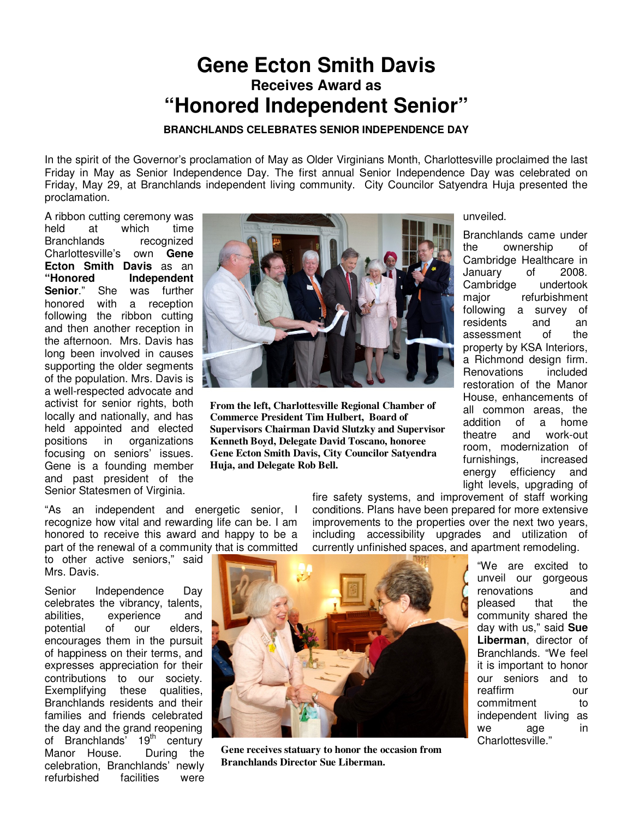## **Gene Ecton Smith Davis Receives Award as "Honored Independent Senior"**

**BRANCHLANDS CELEBRATES SENIOR INDEPENDENCE DAY** 

In the spirit of the Governor's proclamation of May as Older Virginians Month, Charlottesville proclaimed the last Friday in May as Senior Independence Day. The first annual Senior Independence Day was celebrated on Friday, May 29, at Branchlands independent living community. City Councilor Satyendra Huja presented the proclamation.

A ribbon cutting ceremony was held at which time Branchlands recognized Charlottesville's own **Gene Ecton Smith Davis** as an<br>"Honored **Independent Independent**<br>was further **Senior.**" She honored with a reception following the ribbon cutting and then another reception in the afternoon. Mrs. Davis has long been involved in causes supporting the older segments of the population. Mrs. Davis is a well-respected advocate and activist for senior rights, both locally and nationally, and has held appointed and elected positions in organizations focusing on seniors' issues. Gene is a founding member and past president of the Senior Statesmen of Virginia.

"As an independent and energetic senior, I recognize how vital and rewarding life can be. I am honored to receive this award and happy to be a part of the renewal of a community that is committed

to other active seniors," said Mrs. Davis.

Senior Independence Day celebrates the vibrancy, talents, abilities, experience and potential of our elders, encourages them in the pursuit of happiness on their terms, and expresses appreciation for their contributions to our society. Exemplifying these qualities, Branchlands residents and their families and friends celebrated the day and the grand reopening of Branchlands<sup>'</sup> 19<sup>th</sup> century Manor House. During the celebration, Branchlands' newly refurbished facilities were



**From the left, Charlottesville Regional Chamber of Commerce President Tim Hulbert, Board of Supervisors Chairman David Slutzky and Supervisor Kenneth Boyd, Delegate David Toscano, honoree Gene Ecton Smith Davis, City Councilor Satyendra Huja, and Delegate Rob Bell.** 

unveiled.

Branchlands came under the ownership of Cambridge Healthcare in January of 2008. Cambridge undertook major refurbishment following a survey of residents and an assessment of the property by KSA Interiors, a Richmond design firm. Renovations included restoration of the Manor House, enhancements of all common areas, the addition of a home theatre and work-out room, modernization of furnishings, increased energy efficiency and light levels, upgrading of

fire safety systems, and improvement of staff working conditions. Plans have been prepared for more extensive improvements to the properties over the next two years, including accessibility upgrades and utilization of currently unfinished spaces, and apartment remodeling.



**Gene receives statuary to honor the occasion from Branchlands Director Sue Liberman.** 

"We are excited to unveil our gorgeous renovations and pleased that the community shared the day with us," said **Sue Liberman**, director of Branchlands. "We feel it is important to honor our seniors and to reaffirm our commitment to independent living as we age in Charlottesville."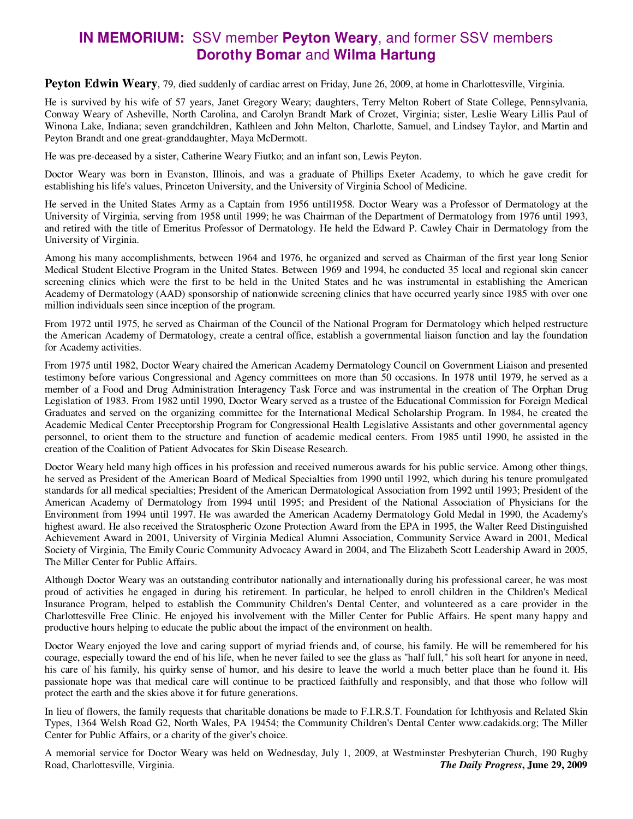## **IN MEMORIUM:** SSV member **Peyton Weary**, and former SSV members **Dorothy Bomar** and **Wilma Hartung**

**Peyton Edwin Weary**, 79, died suddenly of cardiac arrest on Friday, June 26, 2009, at home in Charlottesville, Virginia.

He is survived by his wife of 57 years, Janet Gregory Weary; daughters, Terry Melton Robert of State College, Pennsylvania, Conway Weary of Asheville, North Carolina, and Carolyn Brandt Mark of Crozet, Virginia; sister, Leslie Weary Lillis Paul of Winona Lake, Indiana; seven grandchildren, Kathleen and John Melton, Charlotte, Samuel, and Lindsey Taylor, and Martin and Peyton Brandt and one great-granddaughter, Maya McDermott.

He was pre-deceased by a sister, Catherine Weary Fiutko; and an infant son, Lewis Peyton.

Doctor Weary was born in Evanston, Illinois, and was a graduate of Phillips Exeter Academy, to which he gave credit for establishing his life's values, Princeton University, and the University of Virginia School of Medicine.

He served in the United States Army as a Captain from 1956 until1958. Doctor Weary was a Professor of Dermatology at the University of Virginia, serving from 1958 until 1999; he was Chairman of the Department of Dermatology from 1976 until 1993, and retired with the title of Emeritus Professor of Dermatology. He held the Edward P. Cawley Chair in Dermatology from the University of Virginia.

Among his many accomplishments, between 1964 and 1976, he organized and served as Chairman of the first year long Senior Medical Student Elective Program in the United States. Between 1969 and 1994, he conducted 35 local and regional skin cancer screening clinics which were the first to be held in the United States and he was instrumental in establishing the American Academy of Dermatology (AAD) sponsorship of nationwide screening clinics that have occurred yearly since 1985 with over one million individuals seen since inception of the program.

From 1972 until 1975, he served as Chairman of the Council of the National Program for Dermatology which helped restructure the American Academy of Dermatology, create a central office, establish a governmental liaison function and lay the foundation for Academy activities.

From 1975 until 1982, Doctor Weary chaired the American Academy Dermatology Council on Government Liaison and presented testimony before various Congressional and Agency committees on more than 50 occasions. In 1978 until 1979, he served as a member of a Food and Drug Administration Interagency Task Force and was instrumental in the creation of The Orphan Drug Legislation of 1983. From 1982 until 1990, Doctor Weary served as a trustee of the Educational Commission for Foreign Medical Graduates and served on the organizing committee for the International Medical Scholarship Program. In 1984, he created the Academic Medical Center Preceptorship Program for Congressional Health Legislative Assistants and other governmental agency personnel, to orient them to the structure and function of academic medical centers. From 1985 until 1990, he assisted in the creation of the Coalition of Patient Advocates for Skin Disease Research.

Doctor Weary held many high offices in his profession and received numerous awards for his public service. Among other things, he served as President of the American Board of Medical Specialties from 1990 until 1992, which during his tenure promulgated standards for all medical specialties; President of the American Dermatological Association from 1992 until 1993; President of the American Academy of Dermatology from 1994 until 1995; and President of the National Association of Physicians for the Environment from 1994 until 1997. He was awarded the American Academy Dermatology Gold Medal in 1990, the Academy's highest award. He also received the Stratospheric Ozone Protection Award from the EPA in 1995, the Walter Reed Distinguished Achievement Award in 2001, University of Virginia Medical Alumni Association, Community Service Award in 2001, Medical Society of Virginia, The Emily Couric Community Advocacy Award in 2004, and The Elizabeth Scott Leadership Award in 2005, The Miller Center for Public Affairs.

Although Doctor Weary was an outstanding contributor nationally and internationally during his professional career, he was most proud of activities he engaged in during his retirement. In particular, he helped to enroll children in the Children's Medical Insurance Program, helped to establish the Community Children's Dental Center, and volunteered as a care provider in the Charlottesville Free Clinic. He enjoyed his involvement with the Miller Center for Public Affairs. He spent many happy and productive hours helping to educate the public about the impact of the environment on health.

Doctor Weary enjoyed the love and caring support of myriad friends and, of course, his family. He will be remembered for his courage, especially toward the end of his life, when he never failed to see the glass as "half full," his soft heart for anyone in need, his care of his family, his quirky sense of humor, and his desire to leave the world a much better place than he found it. His passionate hope was that medical care will continue to be practiced faithfully and responsibly, and that those who follow will protect the earth and the skies above it for future generations.

In lieu of flowers, the family requests that charitable donations be made to F.I.R.S.T. Foundation for Ichthyosis and Related Skin Types, 1364 Welsh Road G2, North Wales, PA 19454; the Community Children's Dental Center www.cadakids.org; The Miller Center for Public Affairs, or a charity of the giver's choice.

A memorial service for Doctor Weary was held on Wednesday, July 1, 2009, at Westminster Presbyterian Church, 190 Rugby Road, Charlottesville, Virginia. *The Daily Progress***, June 29, 2009**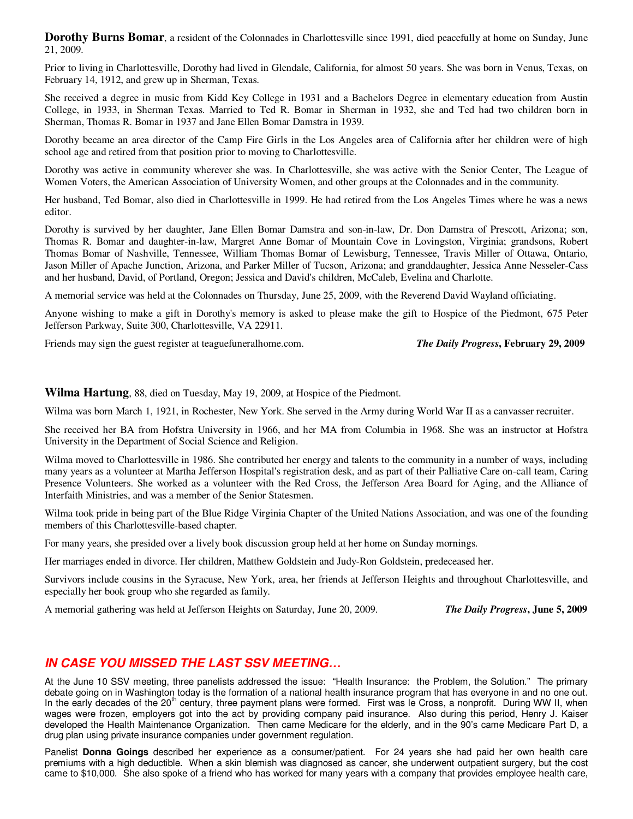**Dorothy Burns Bomar**, a resident of the Colonnades in Charlottesville since 1991, died peacefully at home on Sunday, June 21, 2009.

Prior to living in Charlottesville, Dorothy had lived in Glendale, California, for almost 50 years. She was born in Venus, Texas, on February 14, 1912, and grew up in Sherman, Texas.

She received a degree in music from Kidd Key College in 1931 and a Bachelors Degree in elementary education from Austin College, in 1933, in Sherman Texas. Married to Ted R. Bomar in Sherman in 1932, she and Ted had two children born in Sherman, Thomas R. Bomar in 1937 and Jane Ellen Bomar Damstra in 1939.

Dorothy became an area director of the Camp Fire Girls in the Los Angeles area of California after her children were of high school age and retired from that position prior to moving to Charlottesville.

Dorothy was active in community wherever she was. In Charlottesville, she was active with the Senior Center, The League of Women Voters, the American Association of University Women, and other groups at the Colonnades and in the community.

Her husband, Ted Bomar, also died in Charlottesville in 1999. He had retired from the Los Angeles Times where he was a news editor.

Dorothy is survived by her daughter, Jane Ellen Bomar Damstra and son-in-law, Dr. Don Damstra of Prescott, Arizona; son, Thomas R. Bomar and daughter-in-law, Margret Anne Bomar of Mountain Cove in Lovingston, Virginia; grandsons, Robert Thomas Bomar of Nashville, Tennessee, William Thomas Bomar of Lewisburg, Tennessee, Travis Miller of Ottawa, Ontario, Jason Miller of Apache Junction, Arizona, and Parker Miller of Tucson, Arizona; and granddaughter, Jessica Anne Nesseler-Cass and her husband, David, of Portland, Oregon; Jessica and David's children, McCaleb, Evelina and Charlotte.

A memorial service was held at the Colonnades on Thursday, June 25, 2009, with the Reverend David Wayland officiating.

Anyone wishing to make a gift in Dorothy's memory is asked to please make the gift to Hospice of the Piedmont, 675 Peter Jefferson Parkway, Suite 300, Charlottesville, VA 22911.

Friends may sign the guest register at teaguefuneralhome.com. *The Daily Progress***, February 29, 2009**

**Wilma Hartung**, 88, died on Tuesday, May 19, 2009, at Hospice of the Piedmont.

Wilma was born March 1, 1921, in Rochester, New York. She served in the Army during World War II as a canvasser recruiter.

She received her BA from Hofstra University in 1966, and her MA from Columbia in 1968. She was an instructor at Hofstra University in the Department of Social Science and Religion.

Wilma moved to Charlottesville in 1986. She contributed her energy and talents to the community in a number of ways, including many years as a volunteer at Martha Jefferson Hospital's registration desk, and as part of their Palliative Care on-call team, Caring Presence Volunteers. She worked as a volunteer with the Red Cross, the Jefferson Area Board for Aging, and the Alliance of Interfaith Ministries, and was a member of the Senior Statesmen.

Wilma took pride in being part of the Blue Ridge Virginia Chapter of the United Nations Association, and was one of the founding members of this Charlottesville-based chapter.

For many years, she presided over a lively book discussion group held at her home on Sunday mornings.

Her marriages ended in divorce. Her children, Matthew Goldstein and Judy-Ron Goldstein, predeceased her.

Survivors include cousins in the Syracuse, New York, area, her friends at Jefferson Heights and throughout Charlottesville, and especially her book group who she regarded as family.

A memorial gathering was held at Jefferson Heights on Saturday, June 20, 2009. *The Daily Progress***, June 5, 2009**

## **IN CASE YOU MISSED THE LAST SSV MEETING…**

At the June 10 SSV meeting, three panelists addressed the issue: "Health Insurance: the Problem, the Solution." The primary debate going on in Washington today is the formation of a national health insurance program that has everyone in and no one out. In the early decades of the 20<sup>th</sup> century, three payment plans were formed. First was le Cross, a nonprofit. During WW II, when wages were frozen, employers got into the act by providing company paid insurance. Also during this period, Henry J. Kaiser developed the Health Maintenance Organization. Then came Medicare for the elderly, and in the 90's came Medicare Part D, a drug plan using private insurance companies under government regulation.

Panelist **Donna Goings** described her experience as a consumer/patient. For 24 years she had paid her own health care premiums with a high deductible. When a skin blemish was diagnosed as cancer, she underwent outpatient surgery, but the cost came to \$10,000. She also spoke of a friend who has worked for many years with a company that provides employee health care,